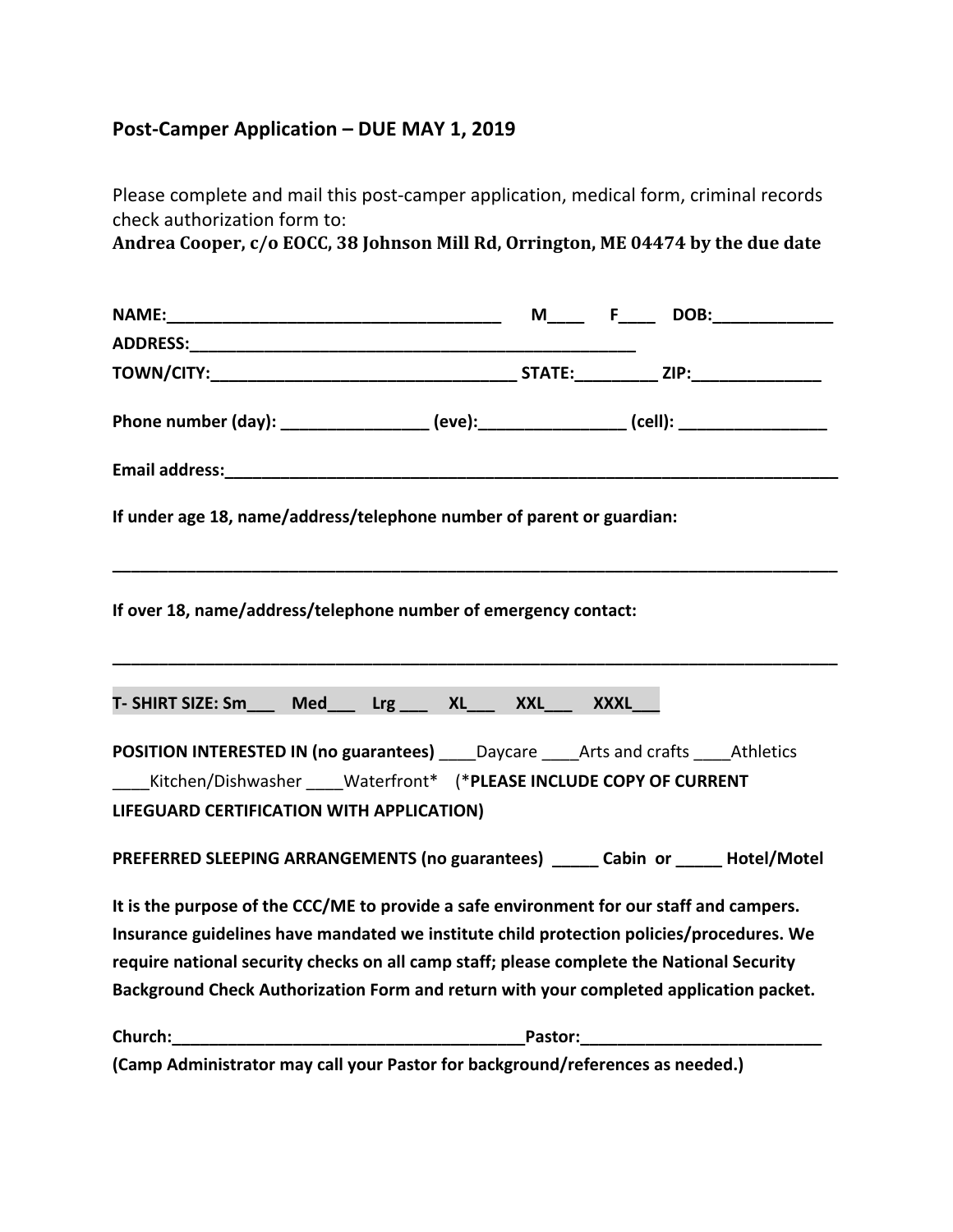## **Post-Camper Application – DUE MAY 1, 2019**

Please complete and mail this post-camper application, medical form, criminal records check authorization form to:

Andrea Cooper, c/o EOCC, 38 Johnson Mill Rd, Orrington, ME 04474 by the due date

| ADDRESS:                                                                                                                                |  |
|-----------------------------------------------------------------------------------------------------------------------------------------|--|
|                                                                                                                                         |  |
| Phone number (day): ________________ (eve): ______________ (cell): _____________                                                        |  |
|                                                                                                                                         |  |
| If under age 18, name/address/telephone number of parent or guardian:                                                                   |  |
| If over 18, name/address/telephone number of emergency contact:                                                                         |  |
| T-SHIRT SIZE: Sm____ Med___ Lrg ___ XL___ XXL___ XXXL__                                                                                 |  |
| POSITION INTERESTED IN (no guarantees) _____ Daycare _____ Arts and crafts _____ Athletics<br>LIFEGUARD CERTIFICATION WITH APPLICATION) |  |
| PREFERRED SLEEPING ARRANGEMENTS (no guarantees) _____ Cabin or _____ Hotel/Motel                                                        |  |
| It is the purpose of the CCC/ME to provide a safe environment for our staff and campers.                                                |  |
| Insurance guidelines have mandated we institute child protection policies/procedures. We                                                |  |
| require national security checks on all camp staff; please complete the National Security                                               |  |
| Background Check Authorization Form and return with your completed application packet.                                                  |  |
| Church:                                                                                                                                 |  |
| (Camp Administrator may call your Pastor for background/references as needed.)                                                          |  |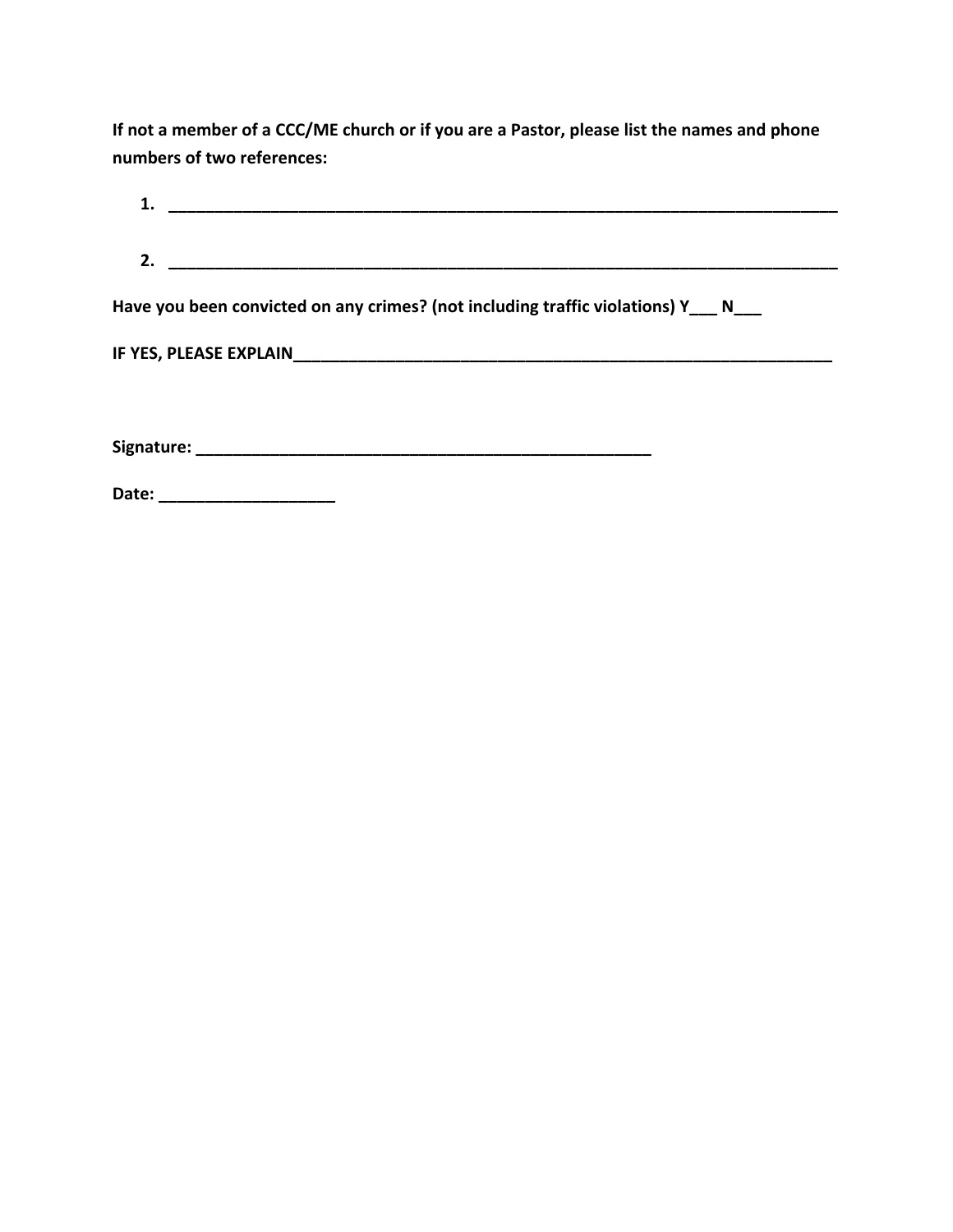If not a member of a CCC/ME church or if you are a Pastor, please list the names and phone **numbers of two references:** 

| Have you been convicted on any crimes? (not including traffic violations) Y____ N____ |
|---------------------------------------------------------------------------------------|
|                                                                                       |
|                                                                                       |
| Date: ______________________                                                          |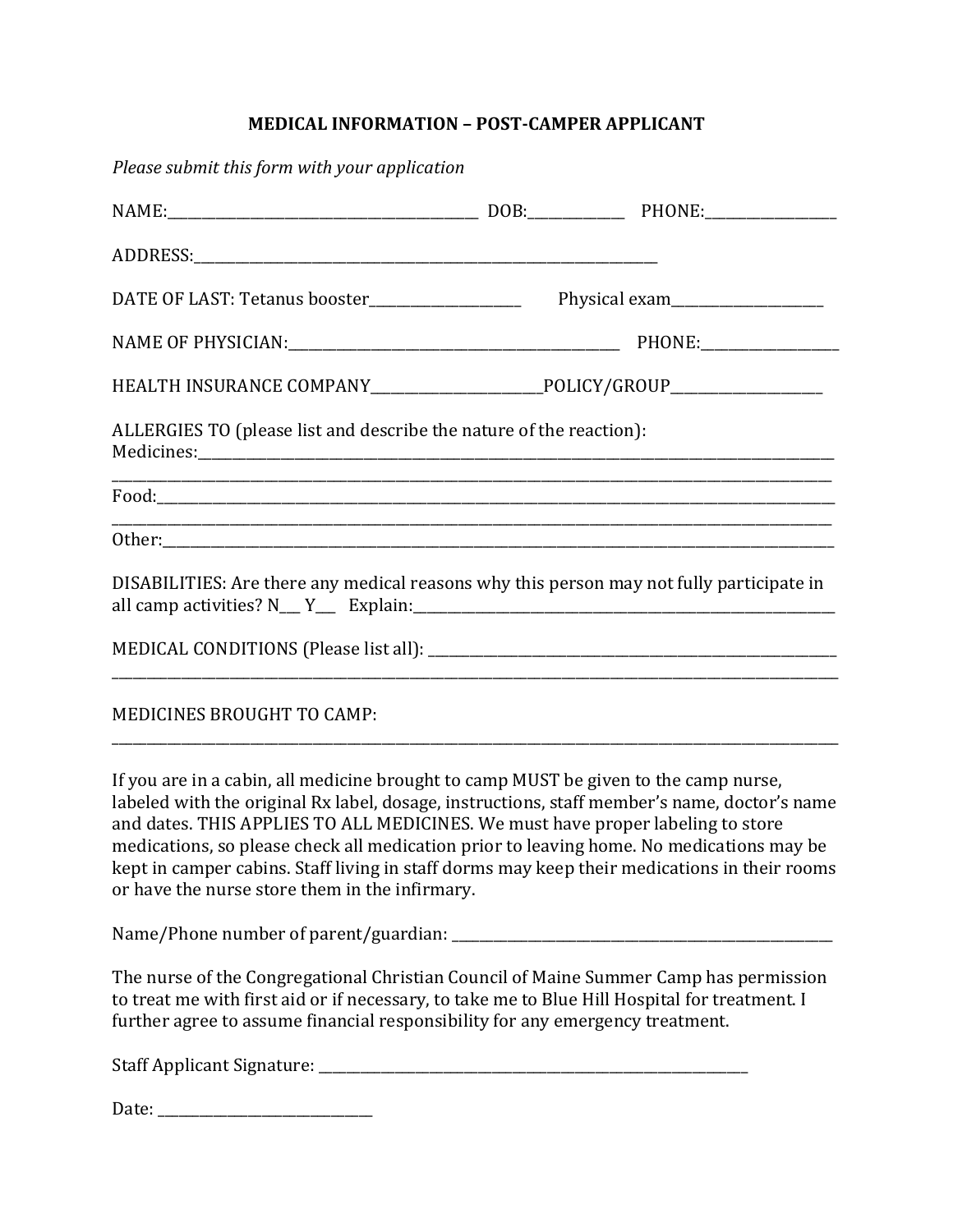## **MEDICAL INFORMATION - POST-CAMPER APPLICANT**

*Please submit this form with your application* NAME:\_\_\_\_\_\_\_\_\_\_\_\_\_\_\_\_\_\_\_\_\_\_\_\_\_\_\_\_\_\_\_\_\_\_\_\_\_\_\_\_\_\_\_\_\_ DOB:\_\_\_\_\_\_\_\_\_\_\_\_\_\_ PHONE:\_\_\_\_\_\_\_\_\_\_\_\_\_\_\_\_\_\_\_ ADDRESS: DATE OF LAST: Tetanus booster **Example 2018** Physical exam NAME OF PHYSICIAN:\_\_\_\_\_\_\_\_\_\_\_\_\_\_\_\_\_\_\_\_\_\_\_\_\_\_\_\_\_\_\_\_\_\_\_\_\_\_\_\_\_\_\_\_\_\_\_\_ PHONE:\_\_\_\_\_\_\_\_\_\_\_\_\_\_\_\_\_\_\_\_ HEALTH INSURANCE COMPANY POLICY/GROUP ALLERGIES TO (please list and describe the nature of the reaction): Medicines: \_\_\_\_\_\_\_\_\_\_\_\_\_\_\_\_\_\_\_\_\_\_\_\_\_\_\_\_\_\_\_\_\_\_\_\_\_\_\_\_\_\_\_\_\_\_\_\_\_\_\_\_\_\_\_\_\_\_\_\_\_\_\_\_\_\_\_\_\_\_\_\_\_\_\_\_\_\_\_\_\_\_\_\_\_\_\_\_\_\_\_\_\_\_\_\_\_\_\_\_\_\_\_\_  $Food:$ Other: DISABILITIES: Are there any medical reasons why this person may not fully participate in all camp activities? N\_\_\_ Y\_\_\_ Explain:\_\_\_\_\_\_\_\_\_\_\_\_\_\_\_\_\_\_\_\_\_\_\_\_\_\_\_\_\_\_\_\_\_\_\_\_\_\_\_\_\_\_\_\_\_\_\_\_\_\_\_\_\_\_\_\_\_\_\_\_\_ MEDICAL CONDITIONS (Please list all): \_\_\_\_\_\_\_\_\_\_\_\_\_\_\_\_\_\_\_\_\_\_\_\_\_\_\_\_\_\_\_\_\_\_\_\_\_\_\_\_\_\_\_\_\_\_\_\_\_\_\_\_\_\_\_\_\_\_\_ \_\_\_\_\_\_\_\_\_\_\_\_\_\_\_\_\_\_\_\_\_\_\_\_\_\_\_\_\_\_\_\_\_\_\_\_\_\_\_\_\_\_\_\_\_\_\_\_\_\_\_\_\_\_\_\_\_\_\_\_\_\_\_\_\_\_\_\_\_\_\_\_\_\_\_\_\_\_\_\_\_\_\_\_\_\_\_\_\_\_\_\_\_\_\_\_\_\_\_\_\_\_\_\_\_ MEDICINES BROUGHT TO CAMP: \_\_\_\_\_\_\_\_\_\_\_\_\_\_\_\_\_\_\_\_\_\_\_\_\_\_\_\_\_\_\_\_\_\_\_\_\_\_\_\_\_\_\_\_\_\_\_\_\_\_\_\_\_\_\_\_\_\_\_\_\_\_\_\_\_\_\_\_\_\_\_\_\_\_\_\_\_\_\_\_\_\_\_\_\_\_\_\_\_\_\_\_\_\_\_\_\_\_\_\_\_\_\_\_\_

If you are in a cabin, all medicine brought to camp MUST be given to the camp nurse, labeled with the original Rx label, dosage, instructions, staff member's name, doctor's name and dates. THIS APPLIES TO ALL MEDICINES. We must have proper labeling to store medications, so please check all medication prior to leaving home. No medications may be kept in camper cabins. Staff living in staff dorms may keep their medications in their rooms or have the nurse store them in the infirmary.

Name/Phone number of parent/guardian:

The nurse of the Congregational Christian Council of Maine Summer Camp has permission to treat me with first aid or if necessary, to take me to Blue Hill Hospital for treatment. I further agree to assume financial responsibility for any emergency treatment.

Staff Applicant Signature: \_\_\_\_\_\_\_\_\_\_\_\_\_\_\_\_\_\_\_\_\_\_\_\_\_\_\_\_\_\_\_\_\_\_\_\_\_\_\_\_\_\_\_\_\_\_\_\_\_\_\_\_\_\_\_\_\_\_\_\_\_\_ 

Date: \_\_\_\_\_\_\_\_\_\_\_\_\_\_\_\_\_\_\_\_\_\_\_\_\_\_\_\_\_\_\_